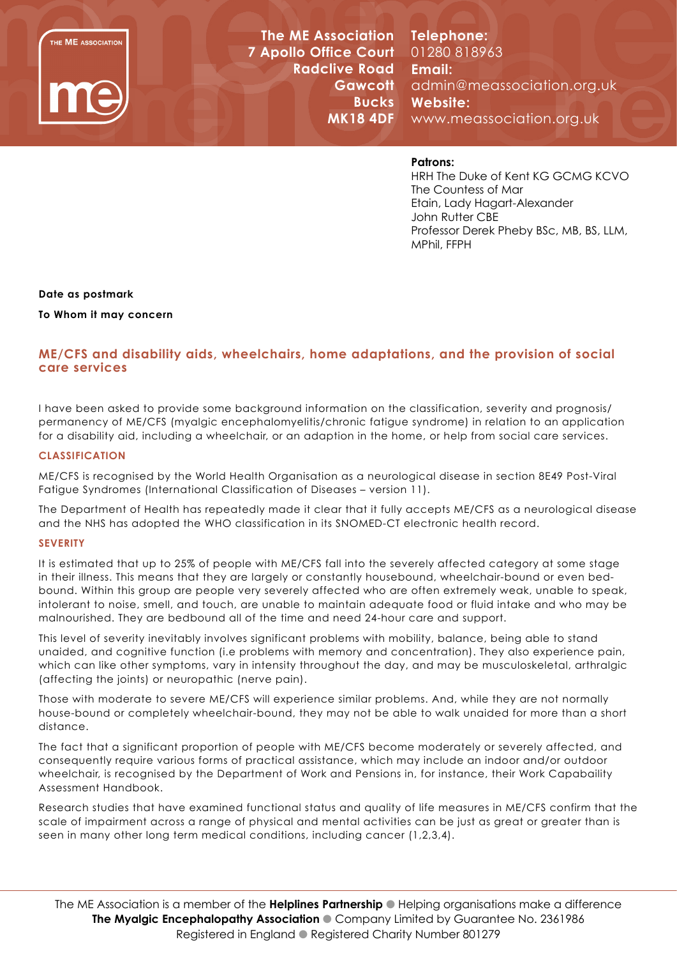

**The ME Association 7 Apollo Office Court Radclive Road Gawcott Bucks MK18 4DF**

**Telephone:**  01280 818963 **Email:**  admin@meassociation.org.uk **Website:**  www.meassociation.org.uk

# **Patrons:**

HRH The Duke of Kent KG GCMG KCVO The Countess of Mar Etain, Lady Hagart-Alexander John Rutter CBE Professor Derek Pheby BSc, MB, BS, LLM, MPhil, FFPH

### **Date as postmark**

**To Whom it may concern**

# **ME/CFS and disability aids, wheelchairs, home adaptations, and the provision of social care services**

I have been asked to provide some background information on the classification, severity and prognosis/ permanency of ME/CFS (myalgic encephalomyelitis/chronic fatigue syndrome) in relation to an application for a disability aid, including a wheelchair, or an adaption in the home, or help from social care services.

### **CLASSIFICATION**

ME/CFS is recognised by the World Health Organisation as a neurological disease in section 8E49 Post-Viral Fatigue Syndromes (International Classification of Diseases – version 11).

The Department of Health has repeatedly made it clear that it fully accepts ME/CFS as a neurological disease and the NHS has adopted the WHO classification in its SNOMED-CT electronic health record.

#### **SEVERITY**

It is estimated that up to 25% of people with ME/CFS fall into the severely affected category at some stage in their illness. This means that they are largely or constantly housebound, wheelchair-bound or even bedbound. Within this group are people very severely affected who are often extremely weak, unable to speak, intolerant to noise, smell, and touch, are unable to maintain adequate food or fluid intake and who may be malnourished. They are bedbound all of the time and need 24-hour care and support.

This level of severity inevitably involves significant problems with mobility, balance, being able to stand unaided, and cognitive function (i.e problems with memory and concentration). They also experience pain, which can like other symptoms, vary in intensity throughout the day, and may be musculoskeletal, arthralgic (affecting the joints) or neuropathic (nerve pain).

Those with moderate to severe ME/CFS will experience similar problems. And, while they are not normally house-bound or completely wheelchair-bound, they may not be able to walk unaided for more than a short distance.

The fact that a significant proportion of people with ME/CFS become moderately or severely affected, and consequently require various forms of practical assistance, which may include an indoor and/or outdoor wheelchair, is recognised by the Department of Work and Pensions in, for instance, their Work Capabaility Assessment Handbook.

Research studies that have examined functional status and quality of life measures in ME/CFS confirm that the scale of impairment across a range of physical and mental activities can be just as great or greater than is seen in many other long term medical conditions, including cancer (1,2,3,4).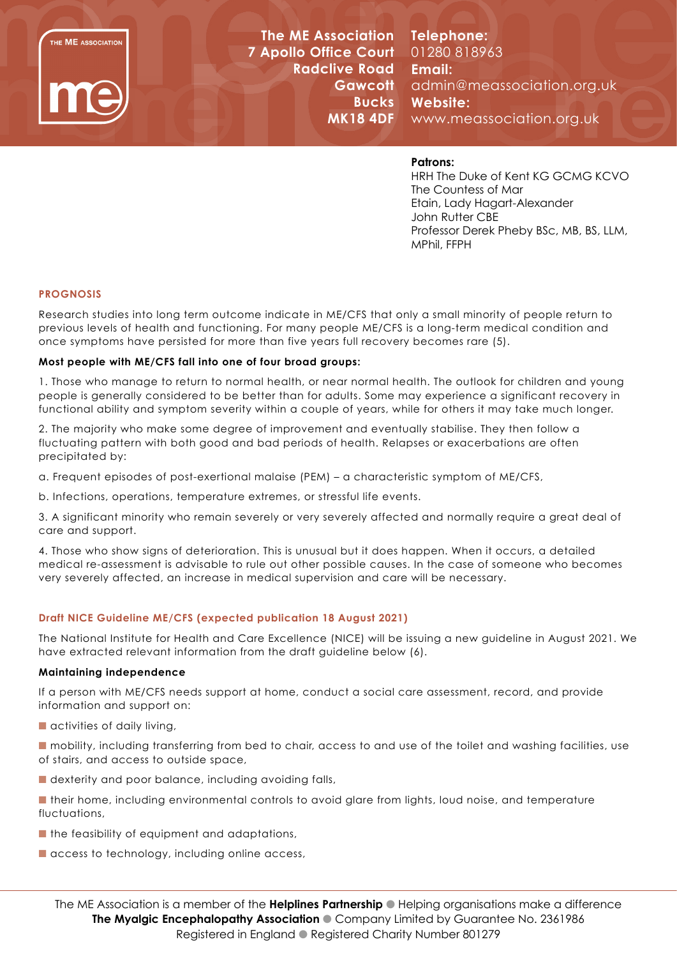

**The ME Association 7 Apollo Office Court Radclive Road Gawcott Bucks MK18 4DF**

**Telephone:**  01280 818963 **Email:**  admin@meassociation.org.uk **Website:**  www.meassociation.org.uk

### **Patrons:**

HRH The Duke of Kent KG GCMG KCVO The Countess of Mar Etain, Lady Hagart-Alexander John Rutter CBE Professor Derek Pheby BSc, MB, BS, LLM, MPhil, FFPH

### **PROGNOSIS**

Research studies into long term outcome indicate in ME/CFS that only a small minority of people return to previous levels of health and functioning. For many people ME/CFS is a long-term medical condition and once symptoms have persisted for more than five years full recovery becomes rare (5).

### **Most people with ME/CFS fall into one of four broad groups:**

1. Those who manage to return to normal health, or near normal health. The outlook for children and young people is generally considered to be better than for adults. Some may experience a significant recovery in functional ability and symptom severity within a couple of years, while for others it may take much longer.

2. The majority who make some degree of improvement and eventually stabilise. They then follow a fluctuating pattern with both good and bad periods of health. Relapses or exacerbations are often precipitated by:

a. Frequent episodes of post-exertional malaise (PEM) – a characteristic symptom of ME/CFS,

b. Infections, operations, temperature extremes, or stressful life events.

3. A significant minority who remain severely or very severely affected and normally require a great deal of care and support.

4. Those who show signs of deterioration. This is unusual but it does happen. When it occurs, a detailed medical re-assessment is advisable to rule out other possible causes. In the case of someone who becomes very severely affected, an increase in medical supervision and care will be necessary.

# **Draft NICE Guideline ME/CFS (expected publication 18 August 2021)**

The National Institute for Health and Care Excellence (NICE) will be issuing a new guideline in August 2021. We have extracted relevant information from the draft guideline below (6).

#### **Maintaining independence**

If a person with ME/CFS needs support at home, conduct a social care assessment, record, and provide information and support on:

- $\blacksquare$  activities of daily living,
- $\blacksquare$  mobility, including transferring from bed to chair, access to and use of the toilet and washing facilities, use of stairs, and access to outside space,
- $\blacksquare$  dexterity and poor balance, including avoiding falls,
- **n** their home, including environmental controls to avoid glare from lights, loud noise, and temperature fluctuations,
- $\blacksquare$  the feasibility of equipment and adaptations,
- $\blacksquare$  access to technology, including online access,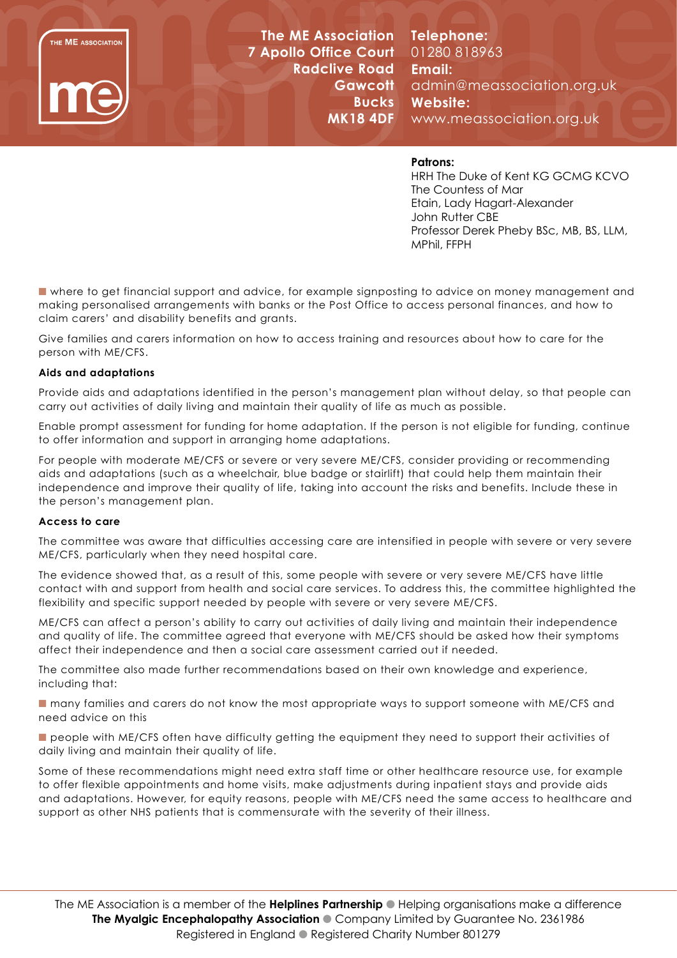

**The ME Association 7 Apollo Office Court Radclive Road Gawcott Bucks MK18 4DF**

**Telephone:**  01280 818963 **Email:**  admin@meassociation.org.uk **Website:**  www.meassociation.org.uk

# **Patrons:**

HRH The Duke of Kent KG GCMG KCVO The Countess of Mar Etain, Lady Hagart-Alexander John Rutter CBE Professor Derek Pheby BSc, MB, BS, LLM, MPhil, FFPH

 $\blacksquare$  where to get financial support and advice, for example signposting to advice on money management and making personalised arrangements with banks or the Post Office to access personal finances, and how to claim carers' and disability benefits and grants.

Give families and carers information on how to access training and resources about how to care for the person with ME/CFS.

# **Aids and adaptations**

Provide aids and adaptations identified in the person's management plan without delay, so that people can carry out activities of daily living and maintain their quality of life as much as possible.

Enable prompt assessment for funding for home adaptation. If the person is not eligible for funding, continue to offer information and support in arranging home adaptations.

For people with moderate ME/CFS or severe or very severe ME/CFS, consider providing or recommending aids and adaptations (such as a wheelchair, blue badge or stairlift) that could help them maintain their independence and improve their quality of life, taking into account the risks and benefits. Include these in the person's management plan.

#### **Access to care**

The committee was aware that difficulties accessing care are intensified in people with severe or very severe ME/CFS, particularly when they need hospital care.

The evidence showed that, as a result of this, some people with severe or very severe ME/CFS have little contact with and support from health and social care services. To address this, the committee highlighted the flexibility and specific support needed by people with severe or very severe ME/CFS.

ME/CFS can affect a person's ability to carry out activities of daily living and maintain their independence and quality of life. The committee agreed that everyone with ME/CFS should be asked how their symptoms affect their independence and then a social care assessment carried out if needed.

The committee also made further recommendations based on their own knowledge and experience, including that:

■ many families and carers do not know the most appropriate ways to support someone with ME/CFS and need advice on this

**n** people with ME/CFS often have difficulty getting the equipment they need to support their activities of daily living and maintain their quality of life.

Some of these recommendations might need extra staff time or other healthcare resource use, for example to offer flexible appointments and home visits, make adjustments during inpatient stays and provide aids and adaptations. However, for equity reasons, people with ME/CFS need the same access to healthcare and support as other NHS patients that is commensurate with the severity of their illness.